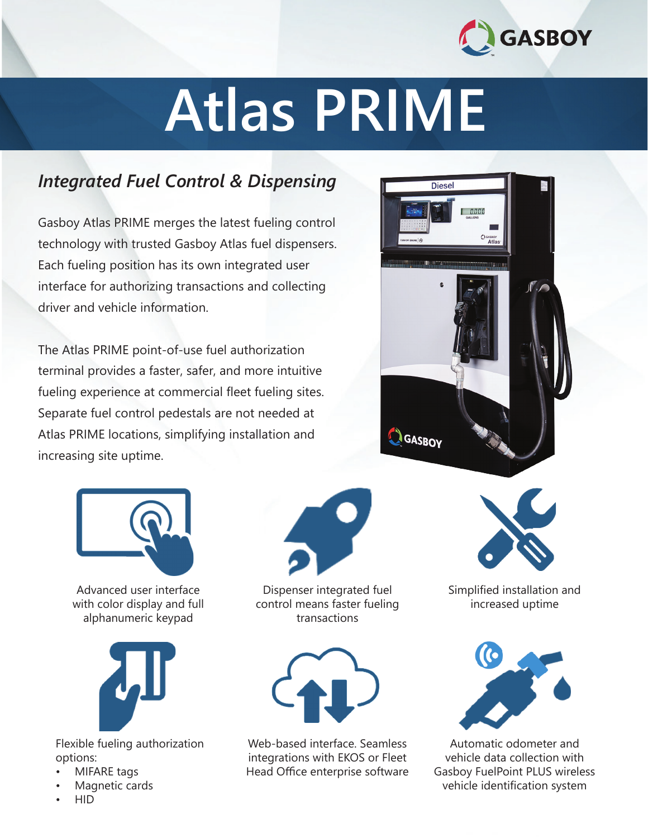

# **Atlas PRIME**

### *Integrated Fuel Control & Dispensing*

Gasboy Atlas PRIME merges the latest fueling control technology with trusted Gasboy Atlas fuel dispensers. Each fueling position has its own integrated user interface for authorizing transactions and collecting driver and vehicle information.

The Atlas PRIME point-of-use fuel authorization terminal provides a faster, safer, and more intuitive fueling experience at commercial fleet fueling sites. Separate fuel control pedestals are not needed at Atlas PRIME locations, simplifying installation and increasing site uptime.





Advanced user interface with color display and full alphanumeric keypad



Flexible fueling authorization options:

- MIFARE tags
- Magnetic cards
- HID



Dispenser integrated fuel control means faster fueling transactions



Web-based interface. Seamless integrations with EKOS or Fleet Head Office enterprise software



Simplified installation and increased uptime



Automatic odometer and vehicle data collection with Gasboy FuelPoint PLUS wireless vehicle identification system